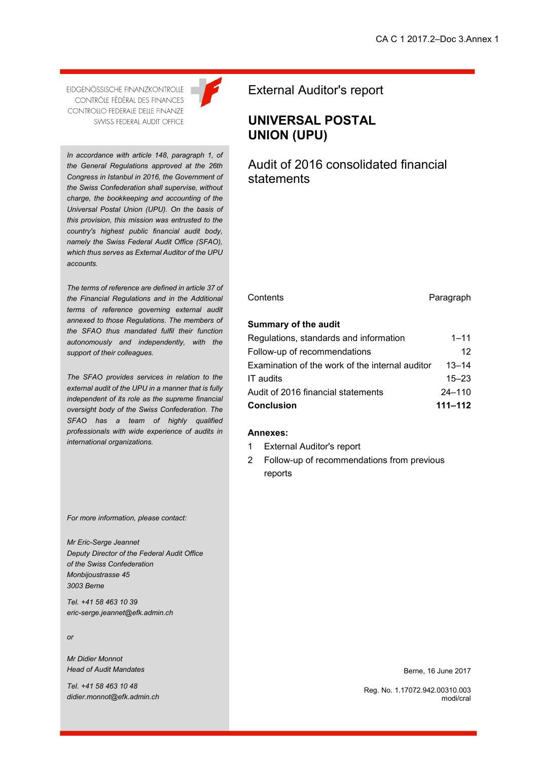EIDGENÖSSISCHE FINANZKONTROLLE CONTRÔLE FÉDÉRAL DES FINANCES **CONTROLLO FEDERALE DELLE FINANZE** SWISS FEDERAL AUDIT OFFICE

*In accordance with article 148, paragraph 1, of the General Regulations approved at the 26th Congress in Istanbul in 2016, the Government of the Swiss Confederation shall supervise, without charge, the bookkeeping and accounting of the Universal Postal Union (UPU). On the basis of this provision, this mission was entrusted to the country's highest public financial audit body, namely the Swiss Federal Audit Office (SFAO), which thus serves as External Auditor of the UPU accounts.*

*The terms of reference are defined in article 37 of the Financial Regulations and in the Additional terms of reference governing external audit annexed to those Regulations. The members of the SFAO thus mandated fulfil their function autonomously and independently, with the support of their colleagues.*

*The SFAO provides services in relation to the external audit of the UPU in a manner that is fully independent of its role as the supreme financial oversight body of the Swiss Confederation. The SFAO has a team of highly qualified professionals with wide experience of audits in international organizations.*

*For more information, please contact:*

*Mr Eric-Serge Jeannet Deputy Director of the Federal Audit Office of the Swiss Confederation Monbijoustrasse 45 3003 Berne*

*Tel. +41 58 463 10 39 eric-serge.jeannet@efk.admin.ch*

*or*

*Mr Didier Monnot Head of Audit Mandates*

*Tel. +41 58 463 10 48 didier.monnot@efk.admin.ch*



**UNIVERSAL POSTAL UNION (UPU)**

Audit of 2016 consolidated financial statements

Contents **Paragraph** 

#### **Summary of the audit**

| <b>Conclusion</b>                               | $111 - 112$ |
|-------------------------------------------------|-------------|
| Audit of 2016 financial statements              | $24 - 110$  |
| IT audits                                       | $15 - 23$   |
| Examination of the work of the internal auditor | $13 - 14$   |
| Follow-up of recommendations                    | 12.         |
| Regulations, standards and information          | 1–11        |

#### **Annexes:**

- 1 External Auditor's report
- 2 Follow-up of recommendations from previous reports

Berne, 16 June 2017

Reg. No. 1.17072.942.00310.003 modi/cral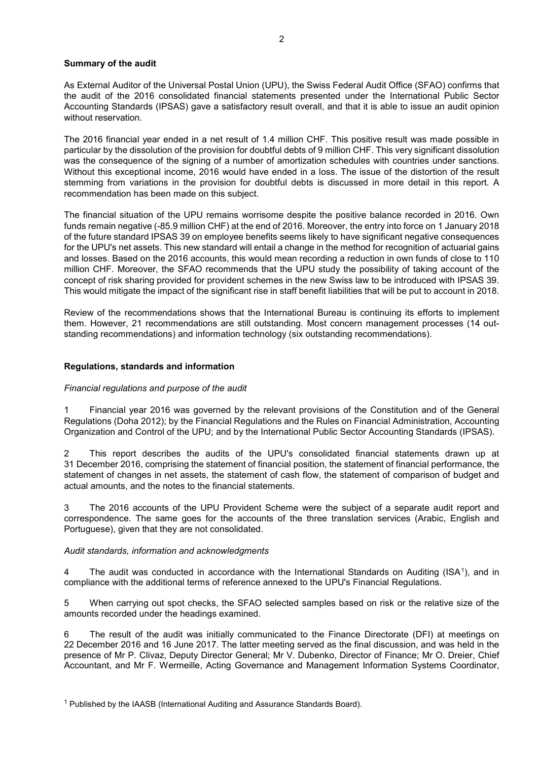## **Summary of the audit**

As External Auditor of the Universal Postal Union (UPU), the Swiss Federal Audit Office (SFAO) confirms that the audit of the 2016 consolidated financial statements presented under the International Public Sector Accounting Standards (IPSAS) gave a satisfactory result overall, and that it is able to issue an audit opinion without reservation

The 2016 financial year ended in a net result of 1.4 million CHF. This positive result was made possible in particular by the dissolution of the provision for doubtful debts of 9 million CHF. This very significant dissolution was the consequence of the signing of a number of amortization schedules with countries under sanctions. Without this exceptional income, 2016 would have ended in a loss. The issue of the distortion of the result stemming from variations in the provision for doubtful debts is discussed in more detail in this report. A recommendation has been made on this subject.

The financial situation of the UPU remains worrisome despite the positive balance recorded in 2016. Own funds remain negative (-85.9 million CHF) at the end of 2016. Moreover, the entry into force on 1 January 2018 of the future standard IPSAS 39 on employee benefits seems likely to have significant negative consequences for the UPU's net assets. This new standard will entail a change in the method for recognition of actuarial gains and losses. Based on the 2016 accounts, this would mean recording a reduction in own funds of close to 110 million CHF. Moreover, the SFAO recommends that the UPU study the possibility of taking account of the concept of risk sharing provided for provident schemes in the new Swiss law to be introduced with IPSAS 39. This would mitigate the impact of the significant rise in staff benefit liabilities that will be put to account in 2018.

Review of the recommendations shows that the International Bureau is continuing its efforts to implement them. However, 21 recommendations are still outstanding. Most concern management processes (14 outstanding recommendations) and information technology (six outstanding recommendations).

## **Regulations, standards and information**

#### *Financial regulations and purpose of the audit*

1 Financial year 2016 was governed by the relevant provisions of the Constitution and of the General Regulations (Doha 2012); by the Financial Regulations and the Rules on Financial Administration, Accounting Organization and Control of the UPU; and by the International Public Sector Accounting Standards (IPSAS).

2 This report describes the audits of the UPU's consolidated financial statements drawn up at 31 December 2016, comprising the statement of financial position, the statement of financial performance, the statement of changes in net assets, the statement of cash flow, the statement of comparison of budget and actual amounts, and the notes to the financial statements.

3 The 2016 accounts of the UPU Provident Scheme were the subject of a separate audit report and correspondence. The same goes for the accounts of the three translation services (Arabic, English and Portuguese), given that they are not consolidated.

# *Audit standards, information and acknowledgments*

4 The audit was conducted in accordance with the International Standards on Auditing (ISA<sup>[1](#page-1-0)</sup>), and in compliance with the additional terms of reference annexed to the UPU's Financial Regulations.

5 When carrying out spot checks, the SFAO selected samples based on risk or the relative size of the amounts recorded under the headings examined.

<span id="page-1-0"></span>6 The result of the audit was initially communicated to the Finance Directorate (DFI) at meetings on 22 December 2016 and 16 June 2017. The latter meeting served as the final discussion, and was held in the presence of Mr P. Clivaz, Deputy Director General; Mr V. Dubenko, Director of Finance; Mr O. Dreier, Chief Accountant, and Mr F. Wermeille, Acting Governance and Management Information Systems Coordinator,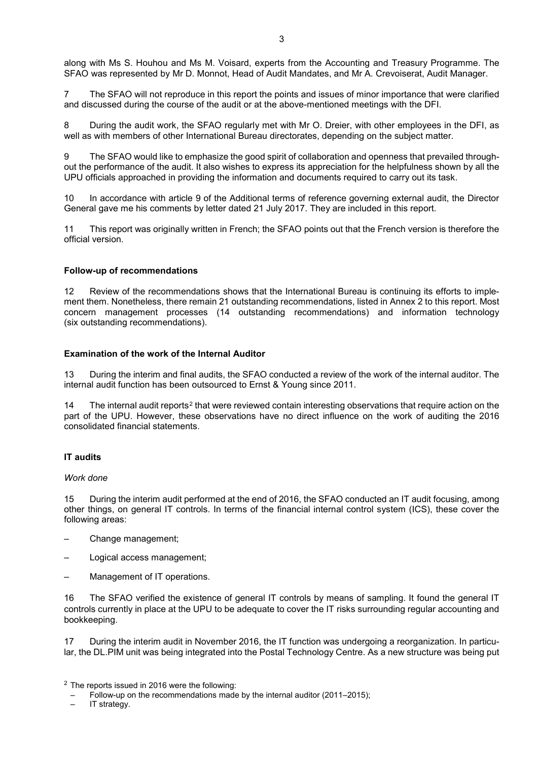along with Ms S. Houhou and Ms M. Voisard, experts from the Accounting and Treasury Programme. The SFAO was represented by Mr D. Monnot, Head of Audit Mandates, and Mr A. Crevoiserat, Audit Manager.

7 The SFAO will not reproduce in this report the points and issues of minor importance that were clarified and discussed during the course of the audit or at the above-mentioned meetings with the DFI.

8 During the audit work, the SFAO regularly met with Mr O. Dreier, with other employees in the DFI, as well as with members of other International Bureau directorates, depending on the subject matter.

9 The SFAO would like to emphasize the good spirit of collaboration and openness that prevailed throughout the performance of the audit. It also wishes to express its appreciation for the helpfulness shown by all the UPU officials approached in providing the information and documents required to carry out its task.

10 In accordance with article 9 of the Additional terms of reference governing external audit, the Director General gave me his comments by letter dated 21 July 2017. They are included in this report.

11 This report was originally written in French; the SFAO points out that the French version is therefore the official version.

## **Follow-up of recommendations**

12 Review of the recommendations shows that the International Bureau is continuing its efforts to implement them. Nonetheless, there remain 21 outstanding recommendations, listed in Annex 2 to this report. Most concern management processes (14 outstanding recommendations) and information technology (six outstanding recommendations).

## **Examination of the work of the Internal Auditor**

13 During the interim and final audits, the SFAO conducted a review of the work of the internal auditor. The internal audit function has been outsourced to Ernst & Young since 2011.

14 The internal audit reports<sup>[2](#page-2-0)</sup> that were reviewed contain interesting observations that require action on the part of the UPU. However, these observations have no direct influence on the work of auditing the 2016 consolidated financial statements.

# **IT audits**

*Work done*

15 During the interim audit performed at the end of 2016, the SFAO conducted an IT audit focusing, among other things, on general IT controls. In terms of the financial internal control system (ICS), these cover the following areas:

- Change management;
- Logical access management;
- Management of IT operations.

16 The SFAO verified the existence of general IT controls by means of sampling. It found the general IT controls currently in place at the UPU to be adequate to cover the IT risks surrounding regular accounting and bookkeeping.

17 During the interim audit in November 2016, the IT function was undergoing a reorganization. In particular, the DL.PIM unit was being integrated into the Postal Technology Centre. As a new structure was being put

<span id="page-2-0"></span><sup>2</sup> The reports issued in 2016 were the following:

- Follow-up on the recommendations made by the internal auditor (2011–2015);
- IT strategy.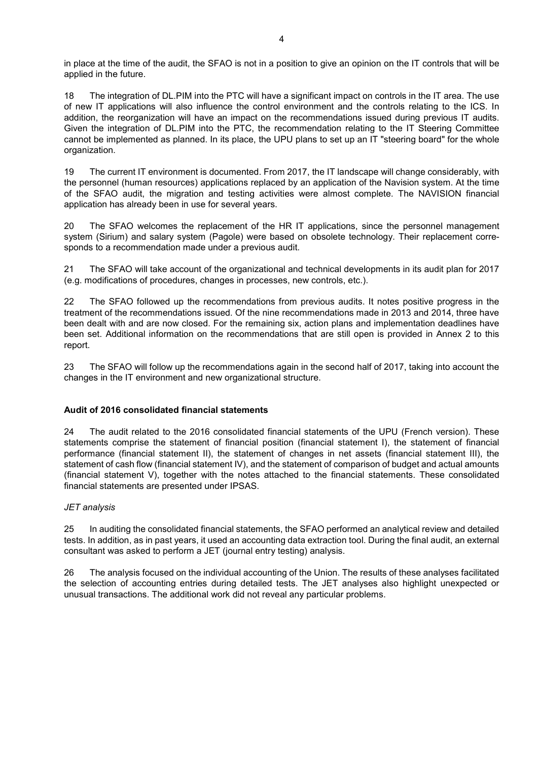in place at the time of the audit, the SFAO is not in a position to give an opinion on the IT controls that will be applied in the future.

18 The integration of DL.PIM into the PTC will have a significant impact on controls in the IT area. The use of new IT applications will also influence the control environment and the controls relating to the ICS. In addition, the reorganization will have an impact on the recommendations issued during previous IT audits. Given the integration of DL.PIM into the PTC, the recommendation relating to the IT Steering Committee cannot be implemented as planned. In its place, the UPU plans to set up an IT "steering board" for the whole organization.

19 The current IT environment is documented. From 2017, the IT landscape will change considerably, with the personnel (human resources) applications replaced by an application of the Navision system. At the time of the SFAO audit, the migration and testing activities were almost complete. The NAVISION financial application has already been in use for several years.

20 The SFAO welcomes the replacement of the HR IT applications, since the personnel management system (Sirium) and salary system (Pagole) were based on obsolete technology. Their replacement corresponds to a recommendation made under a previous audit.

21 The SFAO will take account of the organizational and technical developments in its audit plan for 2017 (e.g. modifications of procedures, changes in processes, new controls, etc.).

22 The SFAO followed up the recommendations from previous audits. It notes positive progress in the treatment of the recommendations issued. Of the nine recommendations made in 2013 and 2014, three have been dealt with and are now closed. For the remaining six, action plans and implementation deadlines have been set. Additional information on the recommendations that are still open is provided in Annex 2 to this report.

23 The SFAO will follow up the recommendations again in the second half of 2017, taking into account the changes in the IT environment and new organizational structure.

# **Audit of 2016 consolidated financial statements**

24 The audit related to the 2016 consolidated financial statements of the UPU (French version). These statements comprise the statement of financial position (financial statement I), the statement of financial performance (financial statement II), the statement of changes in net assets (financial statement III), the statement of cash flow (financial statement IV), and the statement of comparison of budget and actual amounts (financial statement V), together with the notes attached to the financial statements. These consolidated financial statements are presented under IPSAS.

## *JET analysis*

25 In auditing the consolidated financial statements, the SFAO performed an analytical review and detailed tests. In addition, as in past years, it used an accounting data extraction tool. During the final audit, an external consultant was asked to perform a JET (journal entry testing) analysis.

26 The analysis focused on the individual accounting of the Union. The results of these analyses facilitated the selection of accounting entries during detailed tests. The JET analyses also highlight unexpected or unusual transactions. The additional work did not reveal any particular problems.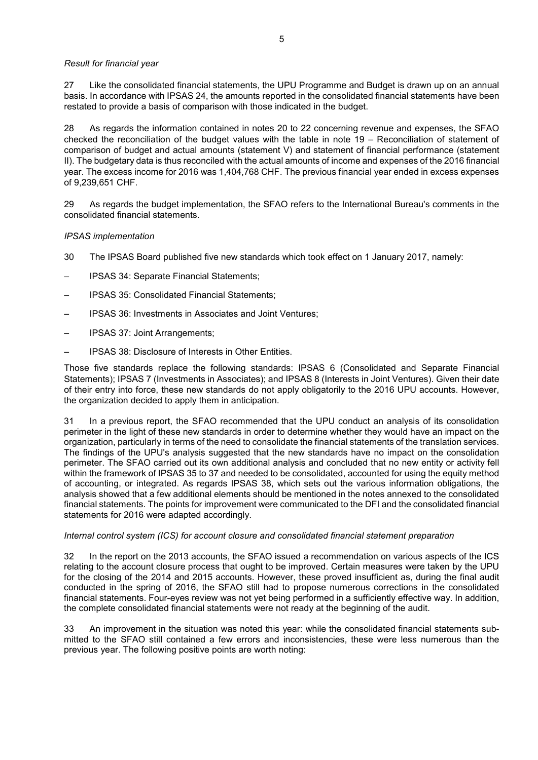## *Result for financial year*

27 Like the consolidated financial statements, the UPU Programme and Budget is drawn up on an annual basis. In accordance with IPSAS 24, the amounts reported in the consolidated financial statements have been restated to provide a basis of comparison with those indicated in the budget.

28 As regards the information contained in notes 20 to 22 concerning revenue and expenses, the SFAO checked the reconciliation of the budget values with the table in note 19 – Reconciliation of statement of comparison of budget and actual amounts (statement V) and statement of financial performance (statement II). The budgetary data is thus reconciled with the actual amounts of income and expenses of the 2016 financial year. The excess income for 2016 was 1,404,768 CHF. The previous financial year ended in excess expenses of 9,239,651 CHF.

29 As regards the budget implementation, the SFAO refers to the International Bureau's comments in the consolidated financial statements.

## *IPSAS implementation*

- 30 The IPSAS Board published five new standards which took effect on 1 January 2017, namely:
- IPSAS 34: Separate Financial Statements;
- IPSAS 35: Consolidated Financial Statements;
- IPSAS 36: Investments in Associates and Joint Ventures;
- IPSAS 37: Joint Arrangements;
- IPSAS 38: Disclosure of Interests in Other Entities.

Those five standards replace the following standards: IPSAS 6 (Consolidated and Separate Financial Statements); IPSAS 7 (Investments in Associates); and IPSAS 8 (Interests in Joint Ventures). Given their date of their entry into force, these new standards do not apply obligatorily to the 2016 UPU accounts. However, the organization decided to apply them in anticipation.

31 In a previous report, the SFAO recommended that the UPU conduct an analysis of its consolidation perimeter in the light of these new standards in order to determine whether they would have an impact on the organization, particularly in terms of the need to consolidate the financial statements of the translation services. The findings of the UPU's analysis suggested that the new standards have no impact on the consolidation perimeter. The SFAO carried out its own additional analysis and concluded that no new entity or activity fell within the framework of IPSAS 35 to 37 and needed to be consolidated, accounted for using the equity method of accounting, or integrated. As regards IPSAS 38, which sets out the various information obligations, the analysis showed that a few additional elements should be mentioned in the notes annexed to the consolidated financial statements. The points for improvement were communicated to the DFI and the consolidated financial statements for 2016 were adapted accordingly.

## *Internal control system (ICS) for account closure and consolidated financial statement preparation*

32 In the report on the 2013 accounts, the SFAO issued a recommendation on various aspects of the ICS relating to the account closure process that ought to be improved. Certain measures were taken by the UPU for the closing of the 2014 and 2015 accounts. However, these proved insufficient as, during the final audit conducted in the spring of 2016, the SFAO still had to propose numerous corrections in the consolidated financial statements. Four-eyes review was not yet being performed in a sufficiently effective way. In addition, the complete consolidated financial statements were not ready at the beginning of the audit.

33 An improvement in the situation was noted this year: while the consolidated financial statements submitted to the SFAO still contained a few errors and inconsistencies, these were less numerous than the previous year. The following positive points are worth noting: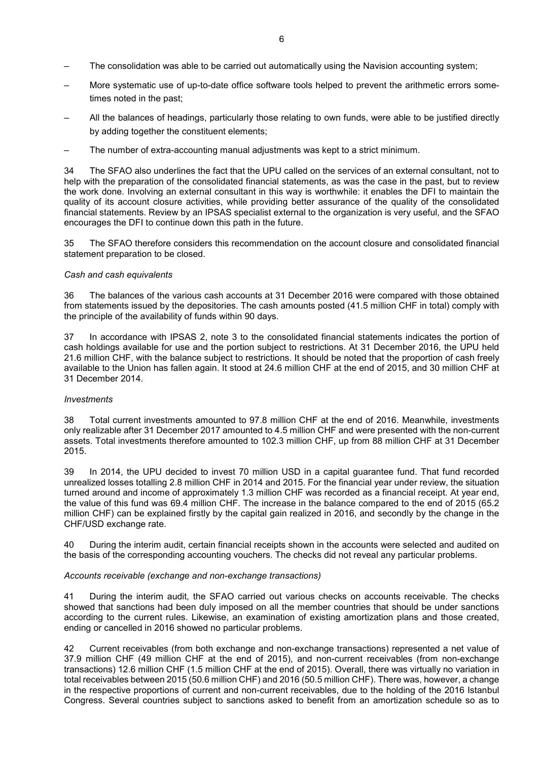- The consolidation was able to be carried out automatically using the Navision accounting system;
- More systematic use of up-to-date office software tools helped to prevent the arithmetic errors sometimes noted in the past;
- All the balances of headings, particularly those relating to own funds, were able to be justified directly by adding together the constituent elements;
- The number of extra-accounting manual adjustments was kept to a strict minimum.

34 The SFAO also underlines the fact that the UPU called on the services of an external consultant, not to help with the preparation of the consolidated financial statements, as was the case in the past, but to review the work done. Involving an external consultant in this way is worthwhile: it enables the DFI to maintain the quality of its account closure activities, while providing better assurance of the quality of the consolidated financial statements. Review by an IPSAS specialist external to the organization is very useful, and the SFAO encourages the DFI to continue down this path in the future.

35 The SFAO therefore considers this recommendation on the account closure and consolidated financial statement preparation to be closed.

## *Cash and cash equivalents*

36 The balances of the various cash accounts at 31 December 2016 were compared with those obtained from statements issued by the depositories. The cash amounts posted (41.5 million CHF in total) comply with the principle of the availability of funds within 90 days.

37 In accordance with IPSAS 2, note 3 to the consolidated financial statements indicates the portion of cash holdings available for use and the portion subject to restrictions. At 31 December 2016, the UPU held 21.6 million CHF, with the balance subject to restrictions. It should be noted that the proportion of cash freely available to the Union has fallen again. It stood at 24.6 million CHF at the end of 2015, and 30 million CHF at 31 December 2014.

## *Investments*

38 Total current investments amounted to 97.8 million CHF at the end of 2016. Meanwhile, investments only realizable after 31 December 2017 amounted to 4.5 million CHF and were presented with the non-current assets. Total investments therefore amounted to 102.3 million CHF, up from 88 million CHF at 31 December 2015.

39 In 2014, the UPU decided to invest 70 million USD in a capital guarantee fund. That fund recorded unrealized losses totalling 2.8 million CHF in 2014 and 2015. For the financial year under review, the situation turned around and income of approximately 1.3 million CHF was recorded as a financial receipt. At year end, the value of this fund was 69.4 million CHF. The increase in the balance compared to the end of 2015 (65.2 million CHF) can be explained firstly by the capital gain realized in 2016, and secondly by the change in the CHF/USD exchange rate.

40 During the interim audit, certain financial receipts shown in the accounts were selected and audited on the basis of the corresponding accounting vouchers. The checks did not reveal any particular problems.

## *Accounts receivable (exchange and non-exchange transactions)*

41 During the interim audit, the SFAO carried out various checks on accounts receivable. The checks showed that sanctions had been duly imposed on all the member countries that should be under sanctions according to the current rules. Likewise, an examination of existing amortization plans and those created, ending or cancelled in 2016 showed no particular problems.

42 Current receivables (from both exchange and non-exchange transactions) represented a net value of 37.9 million CHF (49 million CHF at the end of 2015), and non-current receivables (from non-exchange transactions) 12.6 million CHF (1.5 million CHF at the end of 2015). Overall, there was virtually no variation in total receivables between 2015 (50.6 million CHF) and 2016 (50.5 million CHF). There was, however, a change in the respective proportions of current and non-current receivables, due to the holding of the 2016 Istanbul Congress. Several countries subject to sanctions asked to benefit from an amortization schedule so as to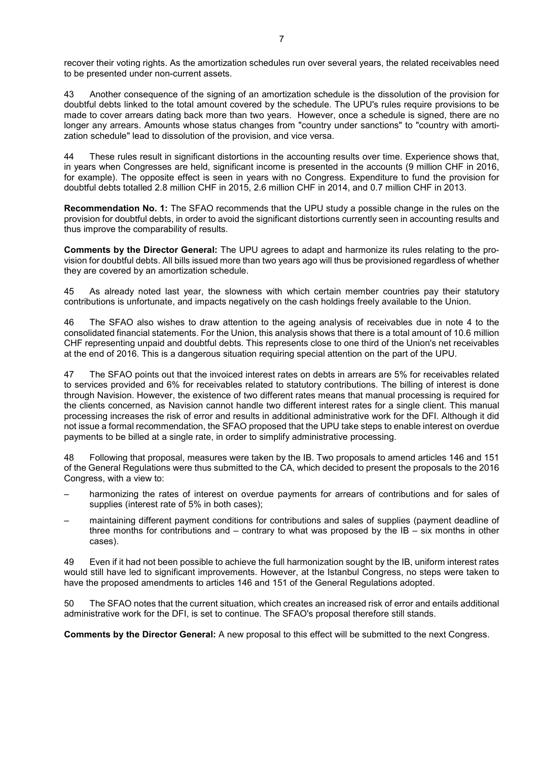recover their voting rights. As the amortization schedules run over several years, the related receivables need to be presented under non-current assets.

43 Another consequence of the signing of an amortization schedule is the dissolution of the provision for doubtful debts linked to the total amount covered by the schedule. The UPU's rules require provisions to be made to cover arrears dating back more than two years. However, once a schedule is signed, there are no longer any arrears. Amounts whose status changes from "country under sanctions" to "country with amortization schedule" lead to dissolution of the provision, and vice versa.

44 These rules result in significant distortions in the accounting results over time. Experience shows that, in years when Congresses are held, significant income is presented in the accounts (9 million CHF in 2016, for example). The opposite effect is seen in years with no Congress. Expenditure to fund the provision for doubtful debts totalled 2.8 million CHF in 2015, 2.6 million CHF in 2014, and 0.7 million CHF in 2013.

**Recommendation No. 1:** The SFAO recommends that the UPU study a possible change in the rules on the provision for doubtful debts, in order to avoid the significant distortions currently seen in accounting results and thus improve the comparability of results.

**Comments by the Director General:** The UPU agrees to adapt and harmonize its rules relating to the provision for doubtful debts. All bills issued more than two years ago will thus be provisioned regardless of whether they are covered by an amortization schedule.

45 As already noted last year, the slowness with which certain member countries pay their statutory contributions is unfortunate, and impacts negatively on the cash holdings freely available to the Union.

46 The SFAO also wishes to draw attention to the ageing analysis of receivables due in note 4 to the consolidated financial statements. For the Union, this analysis shows that there is a total amount of 10.6 million CHF representing unpaid and doubtful debts. This represents close to one third of the Union's net receivables at the end of 2016. This is a dangerous situation requiring special attention on the part of the UPU.

47 The SFAO points out that the invoiced interest rates on debts in arrears are 5% for receivables related to services provided and 6% for receivables related to statutory contributions. The billing of interest is done through Navision. However, the existence of two different rates means that manual processing is required for the clients concerned, as Navision cannot handle two different interest rates for a single client. This manual processing increases the risk of error and results in additional administrative work for the DFI. Although it did not issue a formal recommendation, the SFAO proposed that the UPU take steps to enable interest on overdue payments to be billed at a single rate, in order to simplify administrative processing.

48 Following that proposal, measures were taken by the IB. Two proposals to amend articles 146 and 151 of the General Regulations were thus submitted to the CA, which decided to present the proposals to the 2016 Congress, with a view to:

- harmonizing the rates of interest on overdue payments for arrears of contributions and for sales of supplies (interest rate of 5% in both cases);
- maintaining different payment conditions for contributions and sales of supplies (payment deadline of three months for contributions and  $-$  contrary to what was proposed by the  $IB - six$  months in other cases).

49 Even if it had not been possible to achieve the full harmonization sought by the IB, uniform interest rates would still have led to significant improvements. However, at the Istanbul Congress, no steps were taken to have the proposed amendments to articles 146 and 151 of the General Regulations adopted.

50 The SFAO notes that the current situation, which creates an increased risk of error and entails additional administrative work for the DFI, is set to continue. The SFAO's proposal therefore still stands.

**Comments by the Director General:** A new proposal to this effect will be submitted to the next Congress.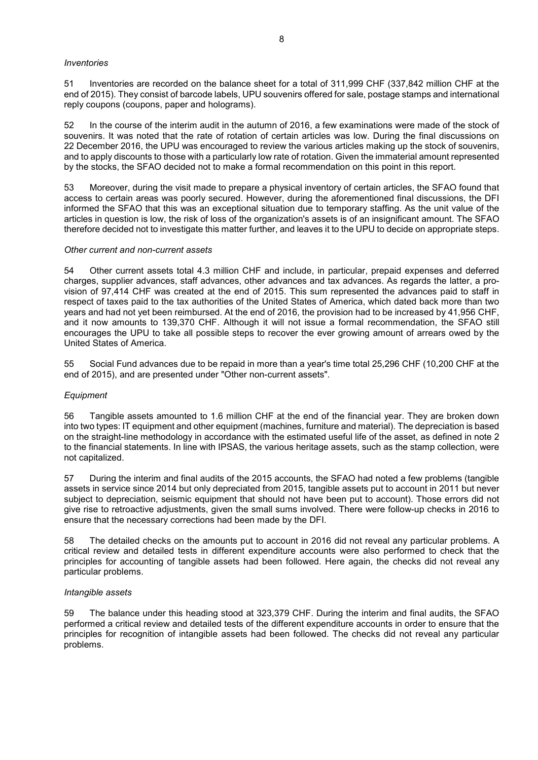### *Inventories*

51 Inventories are recorded on the balance sheet for a total of 311,999 CHF (337,842 million CHF at the end of 2015). They consist of barcode labels, UPU souvenirs offered for sale, postage stamps and international reply coupons (coupons, paper and holograms).

52 In the course of the interim audit in the autumn of 2016, a few examinations were made of the stock of souvenirs. It was noted that the rate of rotation of certain articles was low. During the final discussions on 22 December 2016, the UPU was encouraged to review the various articles making up the stock of souvenirs, and to apply discounts to those with a particularly low rate of rotation. Given the immaterial amount represented by the stocks, the SFAO decided not to make a formal recommendation on this point in this report.

53 Moreover, during the visit made to prepare a physical inventory of certain articles, the SFAO found that access to certain areas was poorly secured. However, during the aforementioned final discussions, the DFI informed the SFAO that this was an exceptional situation due to temporary staffing. As the unit value of the articles in question is low, the risk of loss of the organization's assets is of an insignificant amount. The SFAO therefore decided not to investigate this matter further, and leaves it to the UPU to decide on appropriate steps.

### *Other current and non-current assets*

54 Other current assets total 4.3 million CHF and include, in particular, prepaid expenses and deferred charges, supplier advances, staff advances, other advances and tax advances. As regards the latter, a provision of 97,414 CHF was created at the end of 2015. This sum represented the advances paid to staff in respect of taxes paid to the tax authorities of the United States of America, which dated back more than two years and had not yet been reimbursed. At the end of 2016, the provision had to be increased by 41,956 CHF, and it now amounts to 139,370 CHF. Although it will not issue a formal recommendation, the SFAO still encourages the UPU to take all possible steps to recover the ever growing amount of arrears owed by the United States of America.

55 Social Fund advances due to be repaid in more than a year's time total 25,296 CHF (10,200 CHF at the end of 2015), and are presented under "Other non-current assets".

## *Equipment*

56 Tangible assets amounted to 1.6 million CHF at the end of the financial year. They are broken down into two types: IT equipment and other equipment (machines, furniture and material). The depreciation is based on the straight-line methodology in accordance with the estimated useful life of the asset, as defined in note 2 to the financial statements. In line with IPSAS, the various heritage assets, such as the stamp collection, were not capitalized.

57 During the interim and final audits of the 2015 accounts, the SFAO had noted a few problems (tangible assets in service since 2014 but only depreciated from 2015, tangible assets put to account in 2011 but never subject to depreciation, seismic equipment that should not have been put to account). Those errors did not give rise to retroactive adjustments, given the small sums involved. There were follow-up checks in 2016 to ensure that the necessary corrections had been made by the DFI.

58 The detailed checks on the amounts put to account in 2016 did not reveal any particular problems. A critical review and detailed tests in different expenditure accounts were also performed to check that the principles for accounting of tangible assets had been followed. Here again, the checks did not reveal any particular problems.

## *Intangible assets*

59 The balance under this heading stood at 323,379 CHF. During the interim and final audits, the SFAO performed a critical review and detailed tests of the different expenditure accounts in order to ensure that the principles for recognition of intangible assets had been followed. The checks did not reveal any particular problems.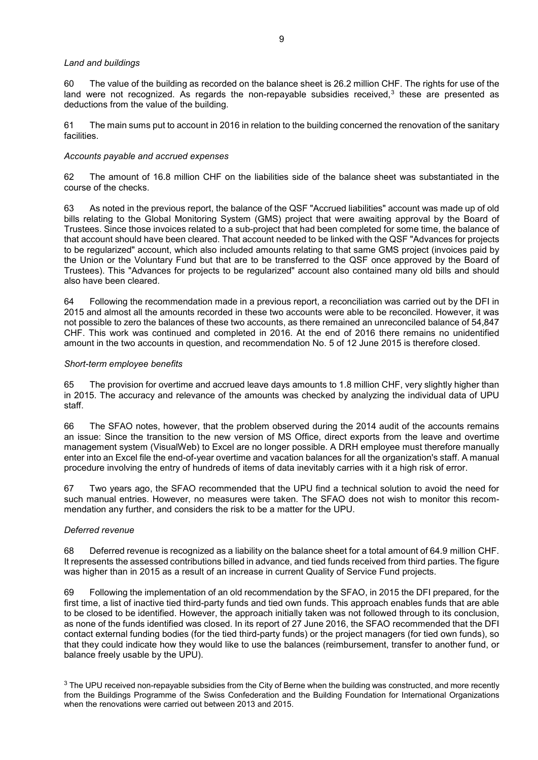### *Land and buildings*

60 The value of the building as recorded on the balance sheet is 26.2 million CHF. The rights for use of the land were not recognized. As regards the non-repayable subsidies received, $3$  these are presented as deductions from the value of the building.

61 The main sums put to account in 2016 in relation to the building concerned the renovation of the sanitary facilities.

### *Accounts payable and accrued expenses*

62 The amount of 16.8 million CHF on the liabilities side of the balance sheet was substantiated in the course of the checks.

63 As noted in the previous report, the balance of the QSF "Accrued liabilities" account was made up of old bills relating to the Global Monitoring System (GMS) project that were awaiting approval by the Board of Trustees. Since those invoices related to a sub-project that had been completed for some time, the balance of that account should have been cleared. That account needed to be linked with the QSF "Advances for projects to be regularized" account, which also included amounts relating to that same GMS project (invoices paid by the Union or the Voluntary Fund but that are to be transferred to the QSF once approved by the Board of Trustees). This "Advances for projects to be regularized" account also contained many old bills and should also have been cleared.

64 Following the recommendation made in a previous report, a reconciliation was carried out by the DFI in 2015 and almost all the amounts recorded in these two accounts were able to be reconciled. However, it was not possible to zero the balances of these two accounts, as there remained an unreconciled balance of 54,847 CHF. This work was continued and completed in 2016. At the end of 2016 there remains no unidentified amount in the two accounts in question, and recommendation No. 5 of 12 June 2015 is therefore closed.

### *Short-term employee benefits*

65 The provision for overtime and accrued leave days amounts to 1.8 million CHF, very slightly higher than in 2015. The accuracy and relevance of the amounts was checked by analyzing the individual data of UPU staff.

66 The SFAO notes, however, that the problem observed during the 2014 audit of the accounts remains an issue: Since the transition to the new version of MS Office, direct exports from the leave and overtime management system (VisualWeb) to Excel are no longer possible. A DRH employee must therefore manually enter into an Excel file the end-of-year overtime and vacation balances for all the organization's staff. A manual procedure involving the entry of hundreds of items of data inevitably carries with it a high risk of error.

67 Two years ago, the SFAO recommended that the UPU find a technical solution to avoid the need for such manual entries. However, no measures were taken. The SFAO does not wish to monitor this recommendation any further, and considers the risk to be a matter for the UPU.

## *Deferred revenue*

68 Deferred revenue is recognized as a liability on the balance sheet for a total amount of 64.9 million CHF. It represents the assessed contributions billed in advance, and tied funds received from third parties. The figure was higher than in 2015 as a result of an increase in current Quality of Service Fund projects.

69 Following the implementation of an old recommendation by the SFAO, in 2015 the DFI prepared, for the first time, a list of inactive tied third-party funds and tied own funds. This approach enables funds that are able to be closed to be identified. However, the approach initially taken was not followed through to its conclusion, as none of the funds identified was closed. In its report of 27 June 2016, the SFAO recommended that the DFI contact external funding bodies (for the tied third-party funds) or the project managers (for tied own funds), so that they could indicate how they would like to use the balances (reimbursement, transfer to another fund, or balance freely usable by the UPU).

<span id="page-8-0"></span><sup>3</sup> The UPU received non-repayable subsidies from the City of Berne when the building was constructed, and more recently from the Buildings Programme of the Swiss Confederation and the Building Foundation for International Organizations when the renovations were carried out between 2013 and 2015.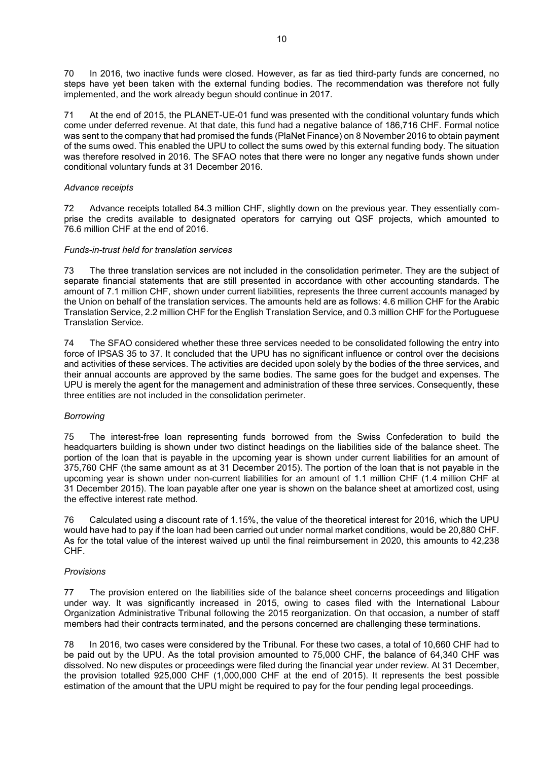70 In 2016, two inactive funds were closed. However, as far as tied third-party funds are concerned, no steps have yet been taken with the external funding bodies. The recommendation was therefore not fully implemented, and the work already begun should continue in 2017.

71 At the end of 2015, the PLANET-UE-01 fund was presented with the conditional voluntary funds which come under deferred revenue. At that date, this fund had a negative balance of 186,716 CHF. Formal notice was sent to the company that had promised the funds (PlaNet Finance) on 8 November 2016 to obtain payment of the sums owed. This enabled the UPU to collect the sums owed by this external funding body. The situation was therefore resolved in 2016. The SFAO notes that there were no longer any negative funds shown under conditional voluntary funds at 31 December 2016.

## *Advance receipts*

72 Advance receipts totalled 84.3 million CHF, slightly down on the previous year. They essentially comprise the credits available to designated operators for carrying out QSF projects, which amounted to 76.6 million CHF at the end of 2016.

## *Funds-in-trust held for translation services*

73 The three translation services are not included in the consolidation perimeter. They are the subject of separate financial statements that are still presented in accordance with other accounting standards. The amount of 7.1 million CHF, shown under current liabilities, represents the three current accounts managed by the Union on behalf of the translation services. The amounts held are as follows: 4.6 million CHF for the Arabic Translation Service, 2.2 million CHF for the English Translation Service, and 0.3 million CHF for the Portuguese Translation Service.

74 The SFAO considered whether these three services needed to be consolidated following the entry into force of IPSAS 35 to 37. It concluded that the UPU has no significant influence or control over the decisions and activities of these services. The activities are decided upon solely by the bodies of the three services, and their annual accounts are approved by the same bodies. The same goes for the budget and expenses. The UPU is merely the agent for the management and administration of these three services. Consequently, these three entities are not included in the consolidation perimeter.

## *Borrowing*

75 The interest-free loan representing funds borrowed from the Swiss Confederation to build the headquarters building is shown under two distinct headings on the liabilities side of the balance sheet. The portion of the loan that is payable in the upcoming year is shown under current liabilities for an amount of 375,760 CHF (the same amount as at 31 December 2015). The portion of the loan that is not payable in the upcoming year is shown under non-current liabilities for an amount of 1.1 million CHF (1.4 million CHF at 31 December 2015). The loan payable after one year is shown on the balance sheet at amortized cost, using the effective interest rate method.

76 Calculated using a discount rate of 1.15%, the value of the theoretical interest for 2016, which the UPU would have had to pay if the loan had been carried out under normal market conditions, would be 20,880 CHF. As for the total value of the interest waived up until the final reimbursement in 2020, this amounts to 42,238 CHF.

# *Provisions*

77 The provision entered on the liabilities side of the balance sheet concerns proceedings and litigation under way. It was significantly increased in 2015, owing to cases filed with the International Labour Organization Administrative Tribunal following the 2015 reorganization. On that occasion, a number of staff members had their contracts terminated, and the persons concerned are challenging these terminations.

78 In 2016, two cases were considered by the Tribunal. For these two cases, a total of 10,660 CHF had to be paid out by the UPU. As the total provision amounted to 75,000 CHF, the balance of 64,340 CHF was dissolved. No new disputes or proceedings were filed during the financial year under review. At 31 December, the provision totalled 925,000 CHF (1,000,000 CHF at the end of 2015). It represents the best possible estimation of the amount that the UPU might be required to pay for the four pending legal proceedings.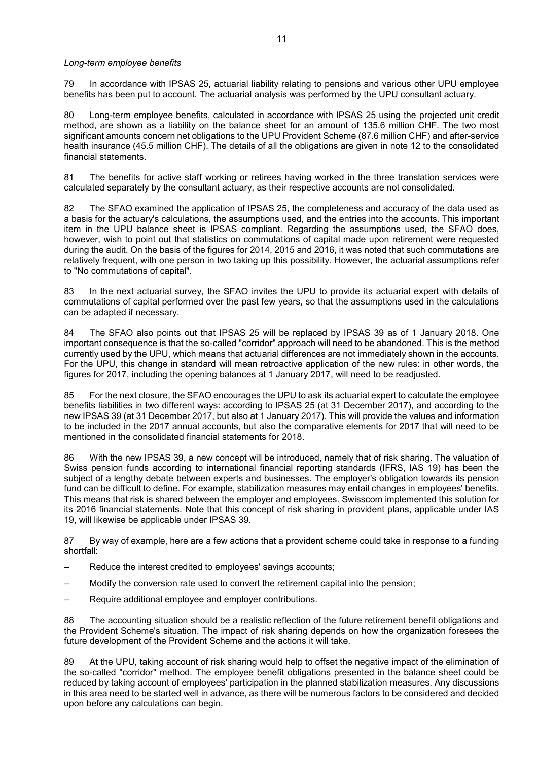### *Long-term employee benefits*

79 In accordance with IPSAS 25, actuarial liability relating to pensions and various other UPU employee benefits has been put to account. The actuarial analysis was performed by the UPU consultant actuary.

80 Long-term employee benefits, calculated in accordance with IPSAS 25 using the projected unit credit method, are shown as a liability on the balance sheet for an amount of 135.6 million CHF. The two most significant amounts concern net obligations to the UPU Provident Scheme (87.6 million CHF) and after-service health insurance (45.5 million CHF). The details of all the obligations are given in note 12 to the consolidated financial statements.

81 The benefits for active staff working or retirees having worked in the three translation services were calculated separately by the consultant actuary, as their respective accounts are not consolidated.

82 The SFAO examined the application of IPSAS 25, the completeness and accuracy of the data used as a basis for the actuary's calculations, the assumptions used, and the entries into the accounts. This important item in the UPU balance sheet is IPSAS compliant. Regarding the assumptions used, the SFAO does, however, wish to point out that statistics on commutations of capital made upon retirement were requested during the audit. On the basis of the figures for 2014, 2015 and 2016, it was noted that such commutations are relatively frequent, with one person in two taking up this possibility. However, the actuarial assumptions refer to "No commutations of capital".

83 In the next actuarial survey, the SFAO invites the UPU to provide its actuarial expert with details of commutations of capital performed over the past few years, so that the assumptions used in the calculations can be adapted if necessary.

84 The SFAO also points out that IPSAS 25 will be replaced by IPSAS 39 as of 1 January 2018. One important consequence is that the so-called "corridor" approach will need to be abandoned. This is the method currently used by the UPU, which means that actuarial differences are not immediately shown in the accounts. For the UPU, this change in standard will mean retroactive application of the new rules: in other words, the figures for 2017, including the opening balances at 1 January 2017, will need to be readjusted.

85 For the next closure, the SFAO encourages the UPU to ask its actuarial expert to calculate the employee benefits liabilities in two different ways: according to IPSAS 25 (at 31 December 2017), and according to the new IPSAS 39 (at 31 December 2017, but also at 1 January 2017). This will provide the values and information to be included in the 2017 annual accounts, but also the comparative elements for 2017 that will need to be mentioned in the consolidated financial statements for 2018.

86 With the new IPSAS 39, a new concept will be introduced, namely that of risk sharing. The valuation of Swiss pension funds according to international financial reporting standards (IFRS, IAS 19) has been the subject of a lengthy debate between experts and businesses. The employer's obligation towards its pension fund can be difficult to define. For example, stabilization measures may entail changes in employees' benefits. This means that risk is shared between the employer and employees. Swisscom implemented this solution for its 2016 financial statements. Note that this concept of risk sharing in provident plans, applicable under IAS 19, will likewise be applicable under IPSAS 39.

87 By way of example, here are a few actions that a provident scheme could take in response to a funding shortfall:

- Reduce the interest credited to employees' savings accounts;
- Modify the conversion rate used to convert the retirement capital into the pension;
- Require additional employee and employer contributions.

88 The accounting situation should be a realistic reflection of the future retirement benefit obligations and the Provident Scheme's situation. The impact of risk sharing depends on how the organization foresees the future development of the Provident Scheme and the actions it will take.

89 At the UPU, taking account of risk sharing would help to offset the negative impact of the elimination of the so-called "corridor" method. The employee benefit obligations presented in the balance sheet could be reduced by taking account of employees' participation in the planned stabilization measures. Any discussions in this area need to be started well in advance, as there will be numerous factors to be considered and decided upon before any calculations can begin.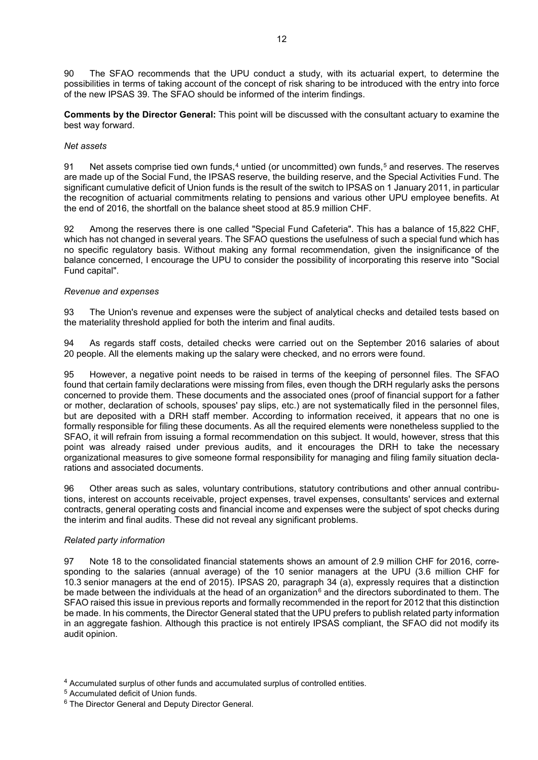90 The SFAO recommends that the UPU conduct a study, with its actuarial expert, to determine the possibilities in terms of taking account of the concept of risk sharing to be introduced with the entry into force of the new IPSAS 39. The SFAO should be informed of the interim findings.

**Comments by the Director General:** This point will be discussed with the consultant actuary to examine the best way forward.

## *Net assets*

91 Net assets comprise tied own funds, $4$  untied (or uncommitted) own funds, $5$  and reserves. The reserves are made up of the Social Fund, the IPSAS reserve, the building reserve, and the Special Activities Fund. The significant cumulative deficit of Union funds is the result of the switch to IPSAS on 1 January 2011, in particular the recognition of actuarial commitments relating to pensions and various other UPU employee benefits. At the end of 2016, the shortfall on the balance sheet stood at 85.9 million CHF.

92 Among the reserves there is one called "Special Fund Cafeteria". This has a balance of 15,822 CHF, which has not changed in several years. The SFAO questions the usefulness of such a special fund which has no specific regulatory basis. Without making any formal recommendation, given the insignificance of the balance concerned, I encourage the UPU to consider the possibility of incorporating this reserve into "Social Fund capital".

## *Revenue and expenses*

93 The Union's revenue and expenses were the subject of analytical checks and detailed tests based on the materiality threshold applied for both the interim and final audits.

94 As regards staff costs, detailed checks were carried out on the September 2016 salaries of about 20 people. All the elements making up the salary were checked, and no errors were found.

95 However, a negative point needs to be raised in terms of the keeping of personnel files. The SFAO found that certain family declarations were missing from files, even though the DRH regularly asks the persons concerned to provide them. These documents and the associated ones (proof of financial support for a father or mother, declaration of schools, spouses' pay slips, etc.) are not systematically filed in the personnel files, but are deposited with a DRH staff member. According to information received, it appears that no one is formally responsible for filing these documents. As all the required elements were nonetheless supplied to the SFAO, it will refrain from issuing a formal recommendation on this subject. It would, however, stress that this point was already raised under previous audits, and it encourages the DRH to take the necessary organizational measures to give someone formal responsibility for managing and filing family situation declarations and associated documents.

96 Other areas such as sales, voluntary contributions, statutory contributions and other annual contributions, interest on accounts receivable, project expenses, travel expenses, consultants' services and external contracts, general operating costs and financial income and expenses were the subject of spot checks during the interim and final audits. These did not reveal any significant problems.

## *Related party information*

97 Note 18 to the consolidated financial statements shows an amount of 2.9 million CHF for 2016, corresponding to the salaries (annual average) of the 10 senior managers at the UPU (3.6 million CHF for 10.3 senior managers at the end of 2015). IPSAS 20, paragraph 34 (a), expressly requires that a distinction be made between the individuals at the head of an organization<sup>[6](#page-11-2)</sup> and the directors subordinated to them. The SFAO raised this issue in previous reports and formally recommended in the report for 2012 that this distinction be made. In his comments, the Director General stated that the UPU prefers to publish related party information in an aggregate fashion. Although this practice is not entirely IPSAS compliant, the SFAO did not modify its audit opinion.

<span id="page-11-0"></span><sup>4</sup> Accumulated surplus of other funds and accumulated surplus of controlled entities.

<span id="page-11-1"></span><sup>5</sup> Accumulated deficit of Union funds.

<span id="page-11-2"></span><sup>6</sup> The Director General and Deputy Director General.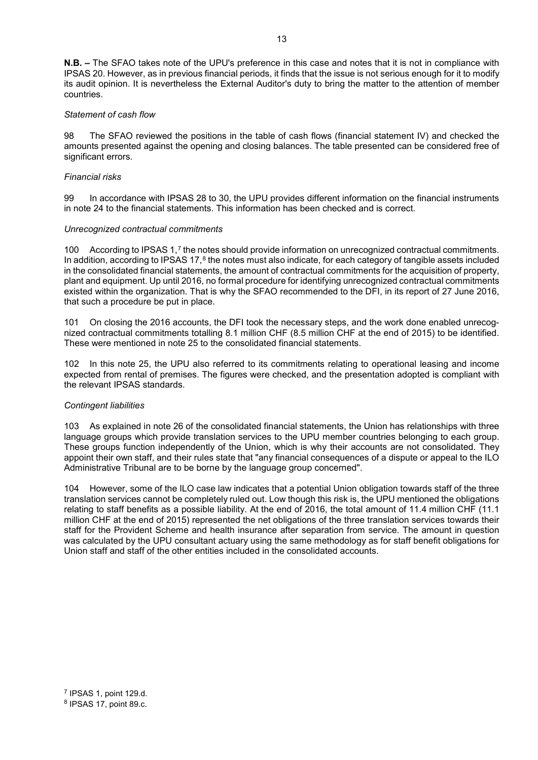**N.B. –** The SFAO takes note of the UPU's preference in this case and notes that it is not in compliance with IPSAS 20. However, as in previous financial periods, it finds that the issue is not serious enough for it to modify its audit opinion. It is nevertheless the External Auditor's duty to bring the matter to the attention of member countries.

## *Statement of cash flow*

98 The SFAO reviewed the positions in the table of cash flows (financial statement IV) and checked the amounts presented against the opening and closing balances. The table presented can be considered free of significant errors.

### *Financial risks*

99 In accordance with IPSAS 28 to 30, the UPU provides different information on the financial instruments in note 24 to the financial statements. This information has been checked and is correct.

### *Unrecognized contractual commitments*

100 According to IPSAS 1,[7](#page-12-0) the notes should provide information on unrecognized contractual commitments. In addition, according to IPSAS  $17$ , $8$  the notes must also indicate, for each category of tangible assets included in the consolidated financial statements, the amount of contractual commitments for the acquisition of property, plant and equipment. Up until 2016, no formal procedure for identifying unrecognized contractual commitments existed within the organization. That is why the SFAO recommended to the DFI, in its report of 27 June 2016, that such a procedure be put in place.

101 On closing the 2016 accounts, the DFI took the necessary steps, and the work done enabled unrecognized contractual commitments totalling 8.1 million CHF (8.5 million CHF at the end of 2015) to be identified. These were mentioned in note 25 to the consolidated financial statements.

102 In this note 25, the UPU also referred to its commitments relating to operational leasing and income expected from rental of premises. The figures were checked, and the presentation adopted is compliant with the relevant IPSAS standards.

#### *Contingent liabilities*

103 As explained in note 26 of the consolidated financial statements, the Union has relationships with three language groups which provide translation services to the UPU member countries belonging to each group. These groups function independently of the Union, which is why their accounts are not consolidated. They appoint their own staff, and their rules state that "any financial consequences of a dispute or appeal to the ILO Administrative Tribunal are to be borne by the language group concerned".

104 However, some of the ILO case law indicates that a potential Union obligation towards staff of the three translation services cannot be completely ruled out. Low though this risk is, the UPU mentioned the obligations relating to staff benefits as a possible liability. At the end of 2016, the total amount of 11.4 million CHF (11.1 million CHF at the end of 2015) represented the net obligations of the three translation services towards their staff for the Provident Scheme and health insurance after separation from service. The amount in question was calculated by the UPU consultant actuary using the same methodology as for staff benefit obligations for Union staff and staff of the other entities included in the consolidated accounts.

<span id="page-12-1"></span><span id="page-12-0"></span><sup>7</sup> IPSAS 1, point 129.d. <sup>8</sup> IPSAS 17, point 89.c.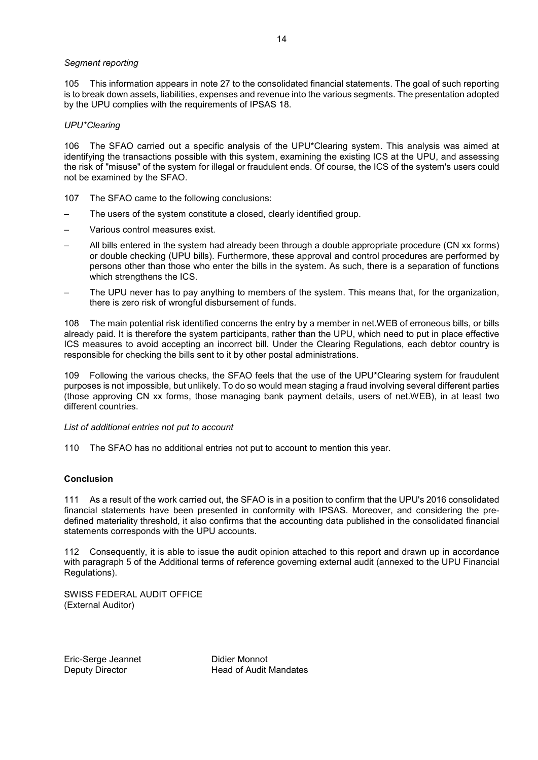### *Segment reporting*

105 This information appears in note 27 to the consolidated financial statements. The goal of such reporting is to break down assets, liabilities, expenses and revenue into the various segments. The presentation adopted by the UPU complies with the requirements of IPSAS 18.

### *UPU\*Clearing*

106 The SFAO carried out a specific analysis of the UPU\*Clearing system. This analysis was aimed at identifying the transactions possible with this system, examining the existing ICS at the UPU, and assessing the risk of "misuse" of the system for illegal or fraudulent ends. Of course, the ICS of the system's users could not be examined by the SFAO.

- 107 The SFAO came to the following conclusions:
- The users of the system constitute a closed, clearly identified group.
- Various control measures exist.
- All bills entered in the system had already been through a double appropriate procedure (CN xx forms) or double checking (UPU bills). Furthermore, these approval and control procedures are performed by persons other than those who enter the bills in the system. As such, there is a separation of functions which strengthens the ICS.
- The UPU never has to pay anything to members of the system. This means that, for the organization, there is zero risk of wrongful disbursement of funds.

108 The main potential risk identified concerns the entry by a member in net.WEB of erroneous bills, or bills already paid. It is therefore the system participants, rather than the UPU, which need to put in place effective ICS measures to avoid accepting an incorrect bill. Under the Clearing Regulations, each debtor country is responsible for checking the bills sent to it by other postal administrations.

109 Following the various checks, the SFAO feels that the use of the UPU\*Clearing system for fraudulent purposes is not impossible, but unlikely. To do so would mean staging a fraud involving several different parties (those approving CN xx forms, those managing bank payment details, users of net.WEB), in at least two different countries.

*List of additional entries not put to account*

110 The SFAO has no additional entries not put to account to mention this year.

# **Conclusion**

111 As a result of the work carried out, the SFAO is in a position to confirm that the UPU's 2016 consolidated financial statements have been presented in conformity with IPSAS. Moreover, and considering the predefined materiality threshold, it also confirms that the accounting data published in the consolidated financial statements corresponds with the UPU accounts.

112 Consequently, it is able to issue the audit opinion attached to this report and drawn up in accordance with paragraph 5 of the Additional terms of reference governing external audit (annexed to the UPU Financial Regulations).

SWISS FEDERAL AUDIT OFFICE (External Auditor)

Eric-Serge Jeannet Didier Monnot<br>
Deputy Director<br>
Deputy Director

Head of Audit Mandates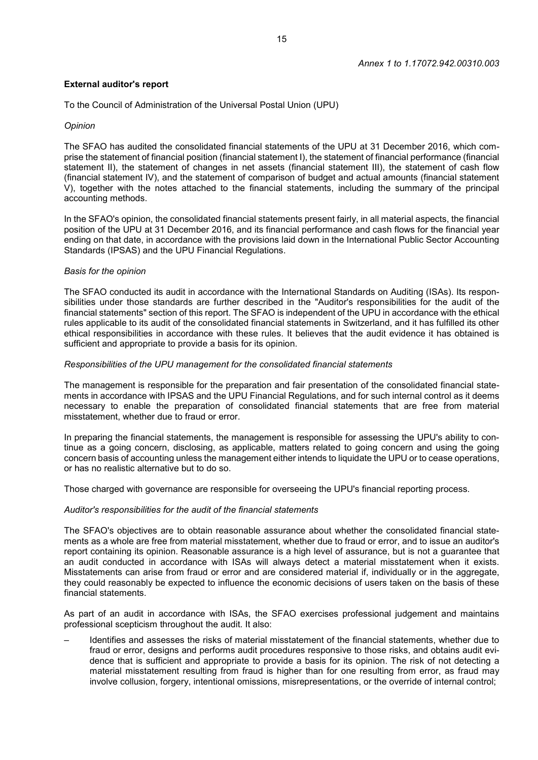## **External auditor's report**

To the Council of Administration of the Universal Postal Union (UPU)

## *Opinion*

The SFAO has audited the consolidated financial statements of the UPU at 31 December 2016, which comprise the statement of financial position (financial statement I), the statement of financial performance (financial statement II), the statement of changes in net assets (financial statement III), the statement of cash flow (financial statement IV), and the statement of comparison of budget and actual amounts (financial statement V), together with the notes attached to the financial statements, including the summary of the principal accounting methods.

In the SFAO's opinion, the consolidated financial statements present fairly, in all material aspects, the financial position of the UPU at 31 December 2016, and its financial performance and cash flows for the financial year ending on that date, in accordance with the provisions laid down in the International Public Sector Accounting Standards (IPSAS) and the UPU Financial Regulations.

## *Basis for the opinion*

The SFAO conducted its audit in accordance with the International Standards on Auditing (ISAs). Its responsibilities under those standards are further described in the "Auditor's responsibilities for the audit of the financial statements" section of this report. The SFAO is independent of the UPU in accordance with the ethical rules applicable to its audit of the consolidated financial statements in Switzerland, and it has fulfilled its other ethical responsibilities in accordance with these rules. It believes that the audit evidence it has obtained is sufficient and appropriate to provide a basis for its opinion.

## *Responsibilities of the UPU management for the consolidated financial statements*

The management is responsible for the preparation and fair presentation of the consolidated financial statements in accordance with IPSAS and the UPU Financial Regulations, and for such internal control as it deems necessary to enable the preparation of consolidated financial statements that are free from material misstatement, whether due to fraud or error.

In preparing the financial statements, the management is responsible for assessing the UPU's ability to continue as a going concern, disclosing, as applicable, matters related to going concern and using the going concern basis of accounting unless the management either intends to liquidate the UPU or to cease operations, or has no realistic alternative but to do so.

Those charged with governance are responsible for overseeing the UPU's financial reporting process.

## *Auditor's responsibilities for the audit of the financial statements*

The SFAO's objectives are to obtain reasonable assurance about whether the consolidated financial statements as a whole are free from material misstatement, whether due to fraud or error, and to issue an auditor's report containing its opinion. Reasonable assurance is a high level of assurance, but is not a guarantee that an audit conducted in accordance with ISAs will always detect a material misstatement when it exists. Misstatements can arise from fraud or error and are considered material if, individually or in the aggregate, they could reasonably be expected to influence the economic decisions of users taken on the basis of these financial statements.

As part of an audit in accordance with ISAs, the SFAO exercises professional judgement and maintains professional scepticism throughout the audit. It also:

– Identifies and assesses the risks of material misstatement of the financial statements, whether due to fraud or error, designs and performs audit procedures responsive to those risks, and obtains audit evidence that is sufficient and appropriate to provide a basis for its opinion. The risk of not detecting a material misstatement resulting from fraud is higher than for one resulting from error, as fraud may involve collusion, forgery, intentional omissions, misrepresentations, or the override of internal control;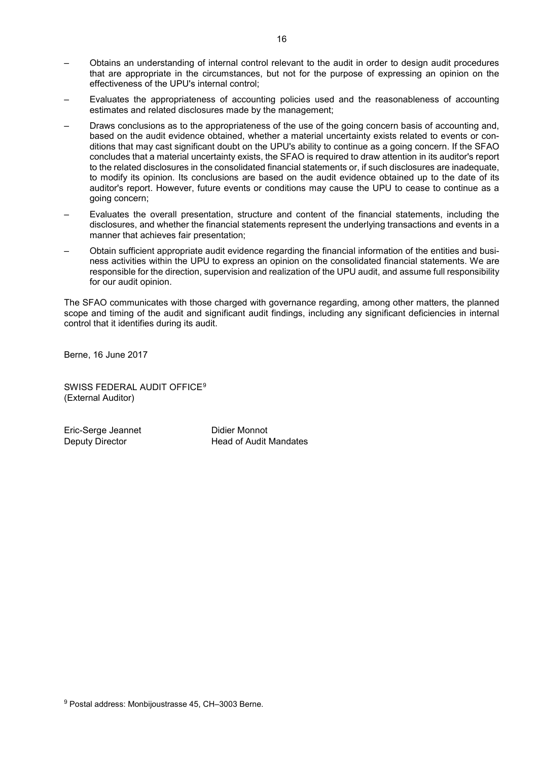- Obtains an understanding of internal control relevant to the audit in order to design audit procedures that are appropriate in the circumstances, but not for the purpose of expressing an opinion on the effectiveness of the UPU's internal control;
- Evaluates the appropriateness of accounting policies used and the reasonableness of accounting estimates and related disclosures made by the management;
- Draws conclusions as to the appropriateness of the use of the going concern basis of accounting and, based on the audit evidence obtained, whether a material uncertainty exists related to events or conditions that may cast significant doubt on the UPU's ability to continue as a going concern. If the SFAO concludes that a material uncertainty exists, the SFAO is required to draw attention in its auditor's report to the related disclosures in the consolidated financial statements or, if such disclosures are inadequate, to modify its opinion. Its conclusions are based on the audit evidence obtained up to the date of its auditor's report. However, future events or conditions may cause the UPU to cease to continue as a going concern;
- Evaluates the overall presentation, structure and content of the financial statements, including the disclosures, and whether the financial statements represent the underlying transactions and events in a manner that achieves fair presentation;
- Obtain sufficient appropriate audit evidence regarding the financial information of the entities and business activities within the UPU to express an opinion on the consolidated financial statements. We are responsible for the direction, supervision and realization of the UPU audit, and assume full responsibility for our audit opinion.

The SFAO communicates with those charged with governance regarding, among other matters, the planned scope and timing of the audit and significant audit findings, including any significant deficiencies in internal control that it identifies during its audit.

Berne, 16 June 2017

SWISS FEDERAL AUDIT OFFICE[9](#page-15-0) (External Auditor)

Eric-Serge Jeannet Didier Monnot<br>
Deputy Director Chead of Audit

Head of Audit Mandates

<span id="page-15-0"></span><sup>9</sup> Postal address: Monbijoustrasse 45, CH–3003 Berne.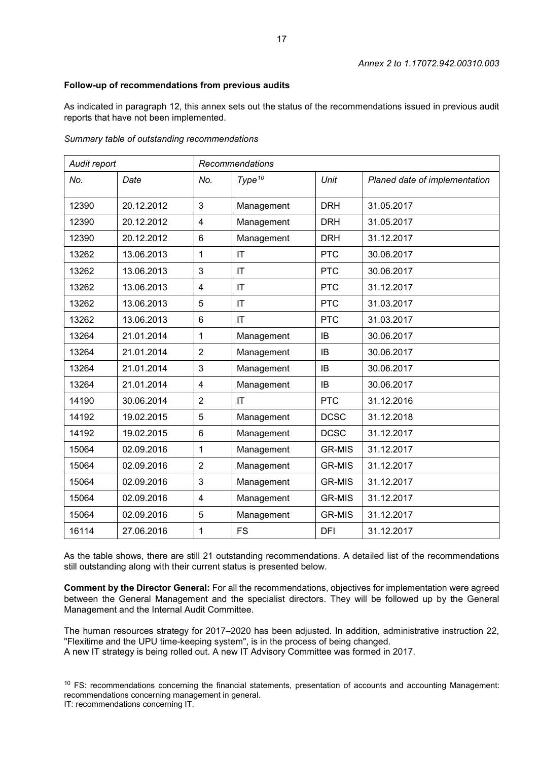# **Follow-up of recommendations from previous audits**

As indicated in paragraph 12, this annex sets out the status of the recommendations issued in previous audit reports that have not been implemented.

|  |  | Summary table of outstanding recommendations |
|--|--|----------------------------------------------|
|--|--|----------------------------------------------|

| Audit report<br>Recommendations |            |                 |                        |               |                               |
|---------------------------------|------------|-----------------|------------------------|---------------|-------------------------------|
| No.                             | Date       | No.             | Type <sup>10</sup>     | Unit          | Planed date of implementation |
| 12390                           | 20.12.2012 | 3               | Management             | <b>DRH</b>    | 31.05.2017                    |
| 12390                           | 20.12.2012 | $\overline{4}$  | Management             | <b>DRH</b>    | 31.05.2017                    |
| 12390                           | 20.12.2012 | $6\phantom{1}$  | Management             | <b>DRH</b>    | 31.12.2017                    |
| 13262                           | 13.06.2013 | 1               | IT                     | <b>PTC</b>    | 30.06.2017                    |
| 13262                           | 13.06.2013 | 3               | $\mathsf{I}\mathsf{T}$ | <b>PTC</b>    | 30.06.2017                    |
| 13262                           | 13.06.2013 | $\overline{4}$  | $\mathsf{I}\mathsf{T}$ | <b>PTC</b>    | 31.12.2017                    |
| 13262                           | 13.06.2013 | 5               | IT                     | <b>PTC</b>    | 31.03.2017                    |
| 13262                           | 13.06.2013 | $6\phantom{1}6$ | $\mathsf{I}\mathsf{T}$ | <b>PTC</b>    | 31.03.2017                    |
| 13264                           | 21.01.2014 | 1               | Management             | IB            | 30.06.2017                    |
| 13264                           | 21.01.2014 | $\overline{2}$  | Management             | <b>IB</b>     | 30.06.2017                    |
| 13264                           | 21.01.2014 | 3               | Management             | IB            | 30.06.2017                    |
| 13264                           | 21.01.2014 | $\overline{4}$  | Management             | <b>IB</b>     | 30.06.2017                    |
| 14190                           | 30.06.2014 | $\overline{2}$  | $\mathsf{I}\mathsf{T}$ | <b>PTC</b>    | 31.12.2016                    |
| 14192                           | 19.02.2015 | 5               | Management             | <b>DCSC</b>   | 31.12.2018                    |
| 14192                           | 19.02.2015 | $6\phantom{1}6$ | Management             | <b>DCSC</b>   | 31.12.2017                    |
| 15064                           | 02.09.2016 | 1               | Management             | <b>GR-MIS</b> | 31.12.2017                    |
| 15064                           | 02.09.2016 | $\overline{2}$  | Management             | <b>GR-MIS</b> | 31.12.2017                    |
| 15064                           | 02.09.2016 | 3               | Management             | <b>GR-MIS</b> | 31.12.2017                    |
| 15064                           | 02.09.2016 | $\overline{4}$  | Management             | <b>GR-MIS</b> | 31.12.2017                    |
| 15064                           | 02.09.2016 | 5               | Management             | <b>GR-MIS</b> | 31.12.2017                    |
| 16114                           | 27.06.2016 | 1               | <b>FS</b>              | <b>DFI</b>    | 31.12.2017                    |

As the table shows, there are still 21 outstanding recommendations. A detailed list of the recommendations still outstanding along with their current status is presented below.

**Comment by the Director General:** For all the recommendations, objectives for implementation were agreed between the General Management and the specialist directors. They will be followed up by the General Management and the Internal Audit Committee.

The human resources strategy for 2017–2020 has been adjusted. In addition, administrative instruction 22, "Flexitime and the UPU time-keeping system", is in the process of being changed. A new IT strategy is being rolled out. A new IT Advisory Committee was formed in 2017.

<span id="page-16-0"></span><sup>10</sup> FS: recommendations concerning the financial statements, presentation of accounts and accounting Management: recommendations concerning management in general.

IT: recommendations concerning IT.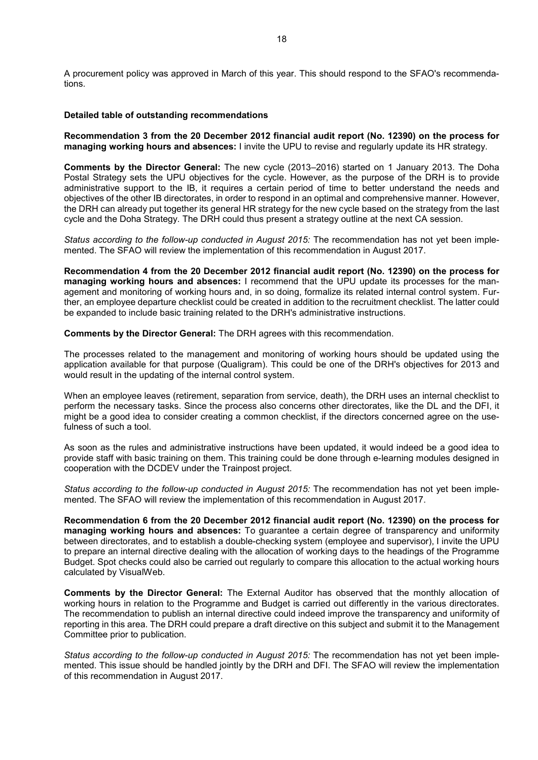A procurement policy was approved in March of this year. This should respond to the SFAO's recommendations.

## **Detailed table of outstanding recommendations**

**Recommendation 3 from the 20 December 2012 financial audit report (No. 12390) on the process for managing working hours and absences:** I invite the UPU to revise and regularly update its HR strategy.

**Comments by the Director General:** The new cycle (2013–2016) started on 1 January 2013. The Doha Postal Strategy sets the UPU objectives for the cycle. However, as the purpose of the DRH is to provide administrative support to the IB, it requires a certain period of time to better understand the needs and objectives of the other IB directorates, in order to respond in an optimal and comprehensive manner. However, the DRH can already put together its general HR strategy for the new cycle based on the strategy from the last cycle and the Doha Strategy. The DRH could thus present a strategy outline at the next CA session.

*Status according to the follow-up conducted in August 2015:* The recommendation has not yet been implemented. The SFAO will review the implementation of this recommendation in August 2017.

**Recommendation 4 from the 20 December 2012 financial audit report (No. 12390) on the process for managing working hours and absences:** I recommend that the UPU update its processes for the management and monitoring of working hours and, in so doing, formalize its related internal control system. Further, an employee departure checklist could be created in addition to the recruitment checklist. The latter could be expanded to include basic training related to the DRH's administrative instructions.

**Comments by the Director General:** The DRH agrees with this recommendation.

The processes related to the management and monitoring of working hours should be updated using the application available for that purpose (Qualigram). This could be one of the DRH's objectives for 2013 and would result in the updating of the internal control system.

When an employee leaves (retirement, separation from service, death), the DRH uses an internal checklist to perform the necessary tasks. Since the process also concerns other directorates, like the DL and the DFI, it might be a good idea to consider creating a common checklist, if the directors concerned agree on the usefulness of such a tool.

As soon as the rules and administrative instructions have been updated, it would indeed be a good idea to provide staff with basic training on them. This training could be done through e-learning modules designed in cooperation with the DCDEV under the Trainpost project.

*Status according to the follow-up conducted in August 2015:* The recommendation has not yet been implemented. The SFAO will review the implementation of this recommendation in August 2017.

**Recommendation 6 from the 20 December 2012 financial audit report (No. 12390) on the process for managing working hours and absences:** To guarantee a certain degree of transparency and uniformity between directorates, and to establish a double-checking system (employee and supervisor), I invite the UPU to prepare an internal directive dealing with the allocation of working days to the headings of the Programme Budget. Spot checks could also be carried out regularly to compare this allocation to the actual working hours calculated by VisualWeb.

**Comments by the Director General:** The External Auditor has observed that the monthly allocation of working hours in relation to the Programme and Budget is carried out differently in the various directorates. The recommendation to publish an internal directive could indeed improve the transparency and uniformity of reporting in this area. The DRH could prepare a draft directive on this subject and submit it to the Management Committee prior to publication.

*Status according to the follow-up conducted in August 2015:* The recommendation has not yet been implemented. This issue should be handled jointly by the DRH and DFI. The SFAO will review the implementation of this recommendation in August 2017.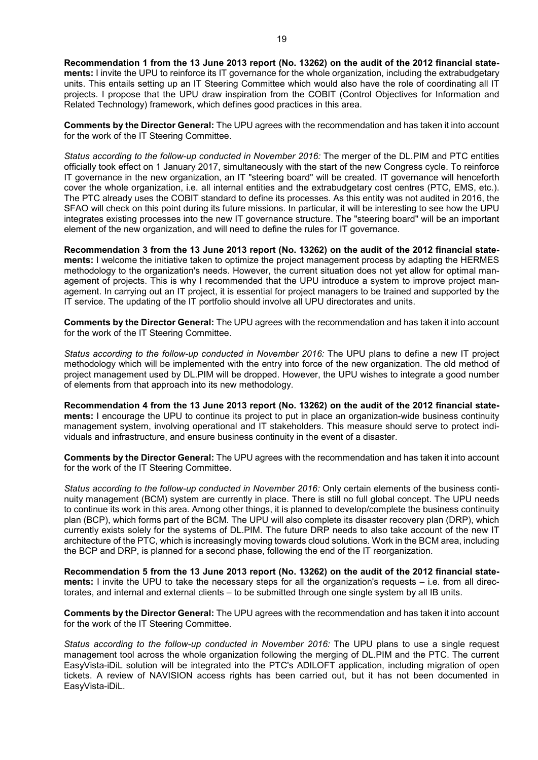**Recommendation 1 from the 13 June 2013 report (No. 13262) on the audit of the 2012 financial statements:** I invite the UPU to reinforce its IT governance for the whole organization, including the extrabudgetary units. This entails setting up an IT Steering Committee which would also have the role of coordinating all IT projects. I propose that the UPU draw inspiration from the COBIT (Control Objectives for Information and Related Technology) framework, which defines good practices in this area.

**Comments by the Director General:** The UPU agrees with the recommendation and has taken it into account for the work of the IT Steering Committee.

*Status according to the follow-up conducted in November 2016:* The merger of the DL.PIM and PTC entities officially took effect on 1 January 2017, simultaneously with the start of the new Congress cycle. To reinforce IT governance in the new organization, an IT "steering board" will be created. IT governance will henceforth cover the whole organization, i.e. all internal entities and the extrabudgetary cost centres (PTC, EMS, etc.). The PTC already uses the COBIT standard to define its processes. As this entity was not audited in 2016, the SFAO will check on this point during its future missions. In particular, it will be interesting to see how the UPU integrates existing processes into the new IT governance structure. The "steering board" will be an important element of the new organization, and will need to define the rules for IT governance.

**Recommendation 3 from the 13 June 2013 report (No. 13262) on the audit of the 2012 financial statements:** I welcome the initiative taken to optimize the project management process by adapting the HERMES methodology to the organization's needs. However, the current situation does not yet allow for optimal management of projects. This is why I recommended that the UPU introduce a system to improve project management. In carrying out an IT project, it is essential for project managers to be trained and supported by the IT service. The updating of the IT portfolio should involve all UPU directorates and units.

**Comments by the Director General:** The UPU agrees with the recommendation and has taken it into account for the work of the IT Steering Committee.

*Status according to the follow-up conducted in November 2016:* The UPU plans to define a new IT project methodology which will be implemented with the entry into force of the new organization. The old method of project management used by DL.PIM will be dropped. However, the UPU wishes to integrate a good number of elements from that approach into its new methodology.

**Recommendation 4 from the 13 June 2013 report (No. 13262) on the audit of the 2012 financial statements:** I encourage the UPU to continue its project to put in place an organization-wide business continuity management system, involving operational and IT stakeholders. This measure should serve to protect individuals and infrastructure, and ensure business continuity in the event of a disaster.

**Comments by the Director General:** The UPU agrees with the recommendation and has taken it into account for the work of the IT Steering Committee.

*Status according to the follow-up conducted in November 2016:* Only certain elements of the business continuity management (BCM) system are currently in place. There is still no full global concept. The UPU needs to continue its work in this area. Among other things, it is planned to develop/complete the business continuity plan (BCP), which forms part of the BCM. The UPU will also complete its disaster recovery plan (DRP), which currently exists solely for the systems of DL.PIM. The future DRP needs to also take account of the new IT architecture of the PTC, which is increasingly moving towards cloud solutions. Work in the BCM area, including the BCP and DRP, is planned for a second phase, following the end of the IT reorganization.

**Recommendation 5 from the 13 June 2013 report (No. 13262) on the audit of the 2012 financial statements:** I invite the UPU to take the necessary steps for all the organization's requests – i.e. from all directorates, and internal and external clients – to be submitted through one single system by all IB units.

**Comments by the Director General:** The UPU agrees with the recommendation and has taken it into account for the work of the IT Steering Committee.

*Status according to the follow-up conducted in November 2016:* The UPU plans to use a single request management tool across the whole organization following the merging of DL.PIM and the PTC. The current EasyVista-iDiL solution will be integrated into the PTC's ADILOFT application, including migration of open tickets. A review of NAVISION access rights has been carried out, but it has not been documented in EasyVista-iDiL.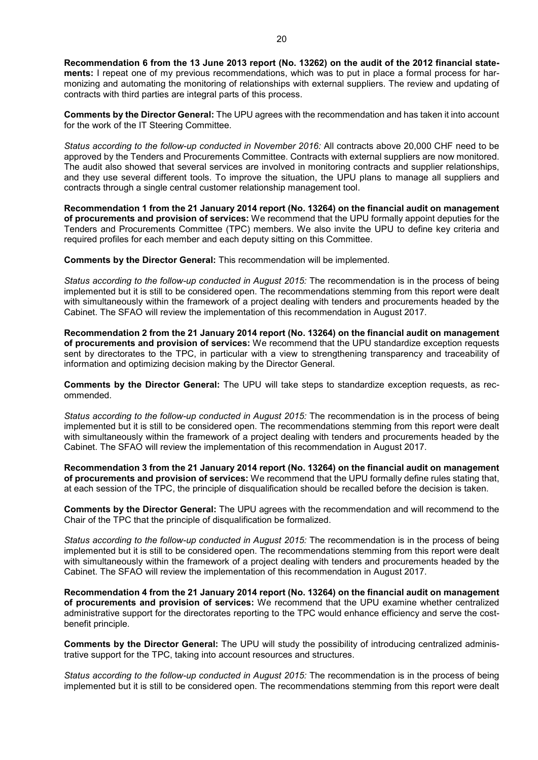**Recommendation 6 from the 13 June 2013 report (No. 13262) on the audit of the 2012 financial statements:** I repeat one of my previous recommendations, which was to put in place a formal process for harmonizing and automating the monitoring of relationships with external suppliers. The review and updating of contracts with third parties are integral parts of this process.

**Comments by the Director General:** The UPU agrees with the recommendation and has taken it into account for the work of the IT Steering Committee.

*Status according to the follow-up conducted in November 2016:* All contracts above 20,000 CHF need to be approved by the Tenders and Procurements Committee. Contracts with external suppliers are now monitored. The audit also showed that several services are involved in monitoring contracts and supplier relationships, and they use several different tools. To improve the situation, the UPU plans to manage all suppliers and contracts through a single central customer relationship management tool.

**Recommendation 1 from the 21 January 2014 report (No. 13264) on the financial audit on management of procurements and provision of services:** We recommend that the UPU formally appoint deputies for the Tenders and Procurements Committee (TPC) members. We also invite the UPU to define key criteria and required profiles for each member and each deputy sitting on this Committee.

**Comments by the Director General:** This recommendation will be implemented.

*Status according to the follow-up conducted in August 2015:* The recommendation is in the process of being implemented but it is still to be considered open. The recommendations stemming from this report were dealt with simultaneously within the framework of a project dealing with tenders and procurements headed by the Cabinet. The SFAO will review the implementation of this recommendation in August 2017.

**Recommendation 2 from the 21 January 2014 report (No. 13264) on the financial audit on management of procurements and provision of services:** We recommend that the UPU standardize exception requests sent by directorates to the TPC, in particular with a view to strengthening transparency and traceability of information and optimizing decision making by the Director General.

**Comments by the Director General:** The UPU will take steps to standardize exception requests, as recommended.

*Status according to the follow-up conducted in August 2015:* The recommendation is in the process of being implemented but it is still to be considered open. The recommendations stemming from this report were dealt with simultaneously within the framework of a project dealing with tenders and procurements headed by the Cabinet. The SFAO will review the implementation of this recommendation in August 2017.

**Recommendation 3 from the 21 January 2014 report (No. 13264) on the financial audit on management of procurements and provision of services:** We recommend that the UPU formally define rules stating that, at each session of the TPC, the principle of disqualification should be recalled before the decision is taken.

**Comments by the Director General:** The UPU agrees with the recommendation and will recommend to the Chair of the TPC that the principle of disqualification be formalized.

*Status according to the follow-up conducted in August 2015:* The recommendation is in the process of being implemented but it is still to be considered open. The recommendations stemming from this report were dealt with simultaneously within the framework of a project dealing with tenders and procurements headed by the Cabinet. The SFAO will review the implementation of this recommendation in August 2017.

**Recommendation 4 from the 21 January 2014 report (No. 13264) on the financial audit on management of procurements and provision of services:** We recommend that the UPU examine whether centralized administrative support for the directorates reporting to the TPC would enhance efficiency and serve the costbenefit principle.

**Comments by the Director General:** The UPU will study the possibility of introducing centralized administrative support for the TPC, taking into account resources and structures.

*Status according to the follow-up conducted in August 2015:* The recommendation is in the process of being implemented but it is still to be considered open. The recommendations stemming from this report were dealt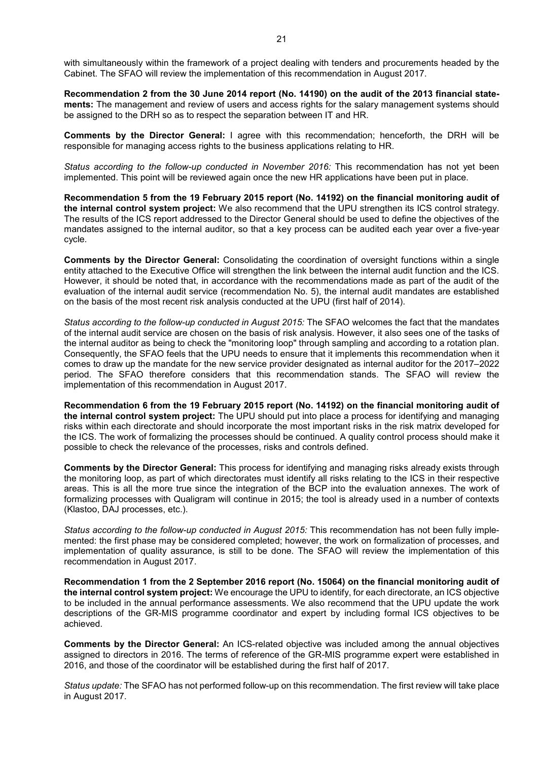with simultaneously within the framework of a project dealing with tenders and procurements headed by the Cabinet. The SFAO will review the implementation of this recommendation in August 2017.

**Recommendation 2 from the 30 June 2014 report (No. 14190) on the audit of the 2013 financial statements:** The management and review of users and access rights for the salary management systems should be assigned to the DRH so as to respect the separation between IT and HR.

**Comments by the Director General:** I agree with this recommendation; henceforth, the DRH will be responsible for managing access rights to the business applications relating to HR.

*Status according to the follow-up conducted in November 2016:* This recommendation has not yet been implemented. This point will be reviewed again once the new HR applications have been put in place.

**Recommendation 5 from the 19 February 2015 report (No. 14192) on the financial monitoring audit of the internal control system project:** We also recommend that the UPU strengthen its ICS control strategy. The results of the ICS report addressed to the Director General should be used to define the objectives of the mandates assigned to the internal auditor, so that a key process can be audited each year over a five-year cycle.

**Comments by the Director General:** Consolidating the coordination of oversight functions within a single entity attached to the Executive Office will strengthen the link between the internal audit function and the ICS. However, it should be noted that, in accordance with the recommendations made as part of the audit of the evaluation of the internal audit service (recommendation No. 5), the internal audit mandates are established on the basis of the most recent risk analysis conducted at the UPU (first half of 2014).

*Status according to the follow-up conducted in August 2015:* The SFAO welcomes the fact that the mandates of the internal audit service are chosen on the basis of risk analysis. However, it also sees one of the tasks of the internal auditor as being to check the "monitoring loop" through sampling and according to a rotation plan. Consequently, the SFAO feels that the UPU needs to ensure that it implements this recommendation when it comes to draw up the mandate for the new service provider designated as internal auditor for the 2017–2022 period. The SFAO therefore considers that this recommendation stands. The SFAO will review the implementation of this recommendation in August 2017.

**Recommendation 6 from the 19 February 2015 report (No. 14192) on the financial monitoring audit of the internal control system project:** The UPU should put into place a process for identifying and managing risks within each directorate and should incorporate the most important risks in the risk matrix developed for the ICS. The work of formalizing the processes should be continued. A quality control process should make it possible to check the relevance of the processes, risks and controls defined.

**Comments by the Director General:** This process for identifying and managing risks already exists through the monitoring loop, as part of which directorates must identify all risks relating to the ICS in their respective areas. This is all the more true since the integration of the BCP into the evaluation annexes. The work of formalizing processes with Qualigram will continue in 2015; the tool is already used in a number of contexts (Klastoo, DAJ processes, etc.).

*Status according to the follow-up conducted in August 2015:* This recommendation has not been fully implemented: the first phase may be considered completed; however, the work on formalization of processes, and implementation of quality assurance, is still to be done. The SFAO will review the implementation of this recommendation in August 2017.

**Recommendation 1 from the 2 September 2016 report (No. 15064) on the financial monitoring audit of the internal control system project:** We encourage the UPU to identify, for each directorate, an ICS objective to be included in the annual performance assessments. We also recommend that the UPU update the work descriptions of the GR-MIS programme coordinator and expert by including formal ICS objectives to be achieved.

**Comments by the Director General:** An ICS-related objective was included among the annual objectives assigned to directors in 2016. The terms of reference of the GR-MIS programme expert were established in 2016, and those of the coordinator will be established during the first half of 2017.

*Status update:* The SFAO has not performed follow-up on this recommendation. The first review will take place in August 2017.